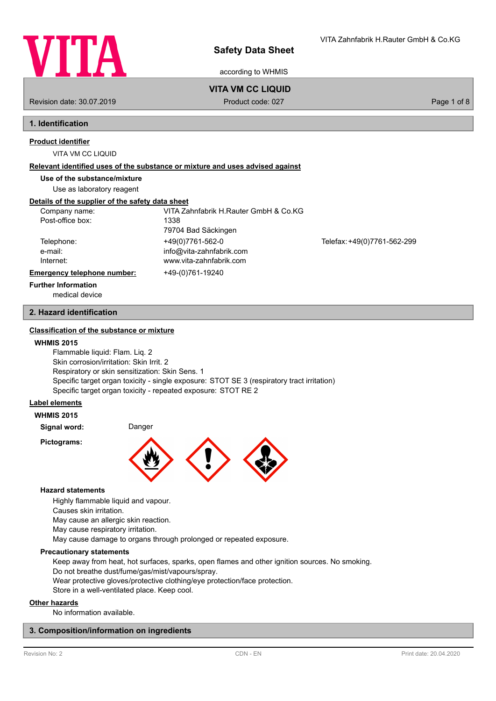

according to WHMIS

## **VITA VM CC LIQUID**

Revision date: 30.07.2019 **Product code: 027** Product code: 027 **Page 1 of 8** Page 1 of 8

# **1. Identification**

# **Product identifier**

VITA VM CC LIQUID

### **Relevant identified uses of the substance or mixture and uses advised against**

**Use of the substance/mixture**

Use as laboratory reagent

# **Details of the supplier of the safety data sheet**

| Company name:               | VITA Zahnfabrik H.Rauter GmbH & Co.KG |                             |
|-----------------------------|---------------------------------------|-----------------------------|
| Post-office box:            | 1338                                  |                             |
|                             | 79704 Bad Säckingen                   |                             |
| Telephone:                  | +49(0)7761-562-0                      | Telefax: +49(0)7761-562-299 |
| e-mail:                     | info@vita-zahnfabrik.com              |                             |
| Internet:                   | www.vita-zahnfabrik.com               |                             |
| Emergency telephone number: | +49-(0)761-19240                      |                             |
| <b>Further Information</b>  |                                       |                             |

medical device

## **2. Hazard identification**

## **Classification of the substance or mixture**

### **WHMIS 2015**

Flammable liquid: Flam. Liq. 2 Skin corrosion/irritation: Skin Irrit. 2 Respiratory or skin sensitization: Skin Sens. 1 Specific target organ toxicity - single exposure: STOT SE 3 (respiratory tract irritation) Specific target organ toxicity - repeated exposure: STOT RE 2

# **Label elements**

# **WHMIS 2015**

**Signal word:** Danger **Pictograms:**



### **Hazard statements**

Highly flammable liquid and vapour.

Causes skin irritation.

May cause an allergic skin reaction.

May cause respiratory irritation.

May cause damage to organs through prolonged or repeated exposure.

### **Precautionary statements**

Keep away from heat, hot surfaces, sparks, open flames and other ignition sources. No smoking. Do not breathe dust/fume/gas/mist/vapours/spray.

Wear protective gloves/protective clothing/eye protection/face protection.

Store in a well-ventilated place. Keep cool.

## **Other hazards**

No information available.

## **3. Composition/information on ingredients**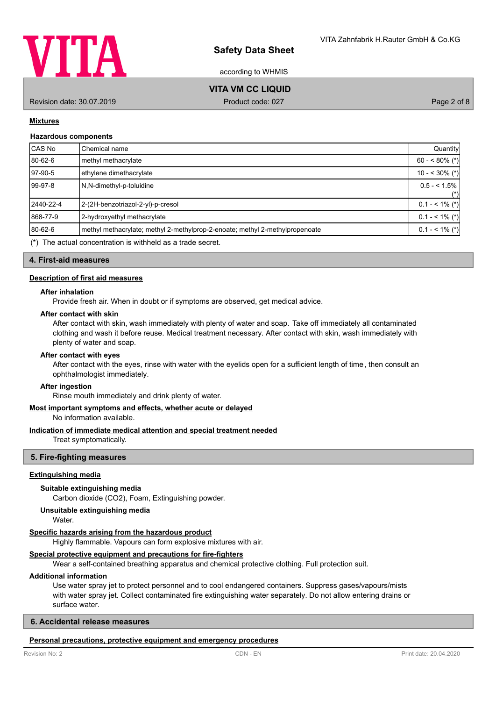

according to WHMIS

# **VITA VM CC LIQUID**

Revision date: 30.07.2019 **Product code: 027** Product code: 027 **Page 2 of 8** Page 2 of 8

## **Mixtures**

### **Hazardous components**

| CAS No    | Chemical name                                                                | Quantity          |
|-----------|------------------------------------------------------------------------------|-------------------|
| 80-62-6   | methyl methacrylate                                                          | $60 - 80\%$ (*)   |
| 97-90-5   | ethylene dimethacrylate                                                      | $10 - 30\%$ (*)   |
| 99-97-8   | N.N-dimethyl-p-toluidine                                                     | $0.5 - 1.5\%$     |
|           |                                                                              | $(*)$             |
| 2440-22-4 | 2-(2H-benzotriazol-2-yl)-p-cresol                                            | $0.1 - 5.1\%$ (*) |
| 868-77-9  | 2-hydroxyethyl methacrylate                                                  | $0.1 - 5.1\%$ (*) |
| 80-62-6   | methyl methacrylate; methyl 2-methylprop-2-enoate; methyl 2-methylpropenoate | $0.1 - 5.1\%$ (*) |
|           | $(*)$ The actual concentration is withheld as a trade secret                 |                   |

 $(*)$  The actual concentration is withheld as a trade secret.

**4. First-aid measures**

### **Description of first aid measures**

### **After inhalation**

Provide fresh air. When in doubt or if symptoms are observed, get medical advice.

# **After contact with skin**

After contact with skin, wash immediately with plenty of water and soap. Take off immediately all contaminated clothing and wash it before reuse. Medical treatment necessary. After contact with skin, wash immediately with plenty of water and soap.

### **After contact with eyes**

After contact with the eyes, rinse with water with the eyelids open for a sufficient length of time, then consult an ophthalmologist immediately.

#### **After ingestion**

Rinse mouth immediately and drink plenty of water.

## **Most important symptoms and effects, whether acute or delayed**

No information available.

### **Indication of immediate medical attention and special treatment needed**

Treat symptomatically.

### **5. Fire-fighting measures**

## **Extinguishing media**

### **Suitable extinguishing media**

Carbon dioxide (CO2), Foam, Extinguishing powder.

# **Unsuitable extinguishing media**

Water.

## **Specific hazards arising from the hazardous product**

Highly flammable. Vapours can form explosive mixtures with air.

# **Special protective equipment and precautions for fire-fighters**

Wear a self-contained breathing apparatus and chemical protective clothing. Full protection suit.

# **Additional information**

Use water spray jet to protect personnel and to cool endangered containers. Suppress gases/vapours/mists with water spray jet. Collect contaminated fire extinguishing water separately. Do not allow entering drains or surface water.

## **6. Accidental release measures**

## **Personal precautions, protective equipment and emergency procedures**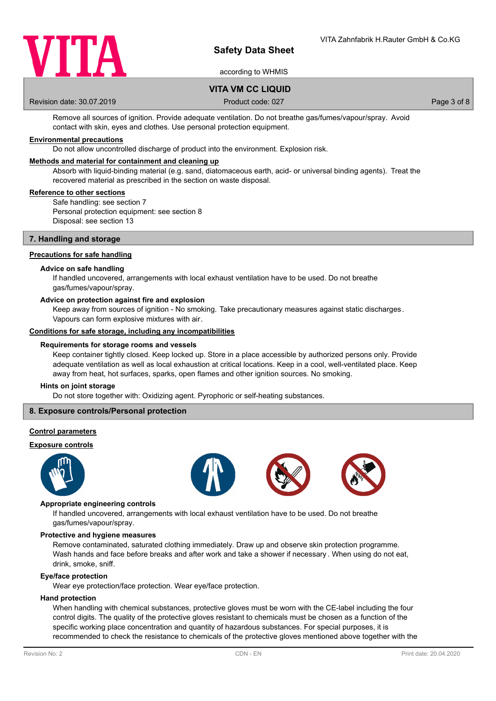

according to WHMIS

# **VITA VM CC LIQUID**

Revision date: 30.07.2019 **Product code: 027** Product code: 027 **Page 3 of 8** Page 3 of 8

Remove all sources of ignition. Provide adequate ventilation. Do not breathe gas/fumes/vapour/spray. Avoid contact with skin, eyes and clothes. Use personal protection equipment.

## **Environmental precautions**

Do not allow uncontrolled discharge of product into the environment. Explosion risk.

### **Methods and material for containment and cleaning up**

Absorb with liquid-binding material (e.g. sand, diatomaceous earth, acid- or universal binding agents). Treat the recovered material as prescribed in the section on waste disposal.

### **Reference to other sections**

Safe handling: see section 7 Personal protection equipment: see section 8 Disposal: see section 13

### **7. Handling and storage**

### **Precautions for safe handling**

### **Advice on safe handling**

If handled uncovered, arrangements with local exhaust ventilation have to be used. Do not breathe gas/fumes/vapour/spray.

### **Advice on protection against fire and explosion**

Keep away from sources of ignition - No smoking. Take precautionary measures against static discharges. Vapours can form explosive mixtures with air.

### **Conditions for safe storage, including any incompatibilities**

### **Requirements for storage rooms and vessels**

Keep container tightly closed. Keep locked up. Store in a place accessible by authorized persons only. Provide adequate ventilation as well as local exhaustion at critical locations. Keep in a cool, well-ventilated place. Keep away from heat, hot surfaces, sparks, open flames and other ignition sources. No smoking.

### **Hints on joint storage**

Do not store together with: Oxidizing agent. Pyrophoric or self-heating substances.

## **8. Exposure controls/Personal protection**

### **Control parameters**

## **Exposure controls**









#### **Appropriate engineering controls**

If handled uncovered, arrangements with local exhaust ventilation have to be used. Do not breathe gas/fumes/vapour/spray.

#### **Protective and hygiene measures**

Remove contaminated, saturated clothing immediately. Draw up and observe skin protection programme. Wash hands and face before breaks and after work and take a shower if necessary . When using do not eat, drink, smoke, sniff.

#### **Eye/face protection**

Wear eye protection/face protection. Wear eye/face protection.

### **Hand protection**

When handling with chemical substances, protective gloves must be worn with the CE-label including the four control digits. The quality of the protective gloves resistant to chemicals must be chosen as a function of the specific working place concentration and quantity of hazardous substances. For special purposes, it is recommended to check the resistance to chemicals of the protective gloves mentioned above together with the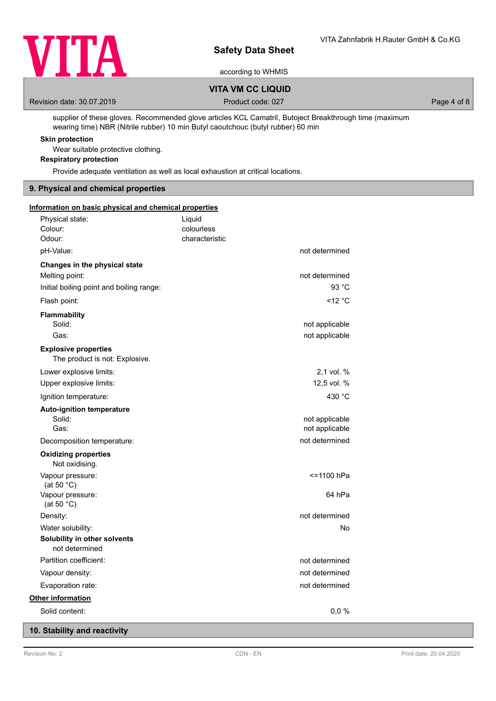

according to WHMIS

# **VITA VM CC LIQUID**

Revision date: 30.07.2019 **Product code: 027** Product code: 027 **Page 4 of 8** Page 4 of 8

supplier of these gloves. Recommended glove articles KCL Camatril, Butoject Breakthrough time (maximum wearing time) NBR (Nitrile rubber) 10 min Butyl caoutchouc (butyl rubber) 60 min

# **Skin protection**

Wear suitable protective clothing.

# **Respiratory protection**

Provide adequate ventilation as well as local exhaustion at critical locations.

## **9. Physical and chemical properties**

| Information on basic physical and chemical properties         |                |                |
|---------------------------------------------------------------|----------------|----------------|
| Physical state:                                               | Liquid         |                |
| Colour:                                                       | colourless     |                |
| Odour:                                                        | characteristic |                |
| pH-Value:                                                     |                | not determined |
| Changes in the physical state                                 |                |                |
| Melting point:                                                |                | not determined |
| Initial boiling point and boiling range:                      |                | 93 °C          |
| Flash point:                                                  |                | <12 °C         |
| Flammability                                                  |                |                |
| Solid:                                                        |                | not applicable |
| Gas:                                                          |                | not applicable |
| <b>Explosive properties</b><br>The product is not: Explosive. |                |                |
| Lower explosive limits:                                       |                | 2,1 vol. %     |
| Upper explosive limits:                                       |                | 12,5 vol. %    |
| Ignition temperature:                                         |                | 430 °C         |
| <b>Auto-ignition temperature</b>                              |                |                |
| Solid:                                                        |                | not applicable |
| Gas:                                                          |                | not applicable |
| Decomposition temperature:                                    |                | not determined |
| <b>Oxidizing properties</b><br>Not oxidising.                 |                |                |
| Vapour pressure:<br>(at 50 $^{\circ}$ C)                      |                | <=1100 hPa     |
| Vapour pressure:<br>(at 50 $^{\circ}$ C)                      |                | 64 hPa         |
| Density:                                                      |                | not determined |
| Water solubility:                                             |                | No             |
| Solubility in other solvents<br>not determined                |                |                |
| Partition coefficient:                                        |                | not determined |
| Vapour density:                                               |                | not determined |
| Evaporation rate:                                             |                | not determined |
| <b>Other information</b>                                      |                |                |
| Solid content:                                                |                | 0,0%           |

# **10. Stability and reactivity**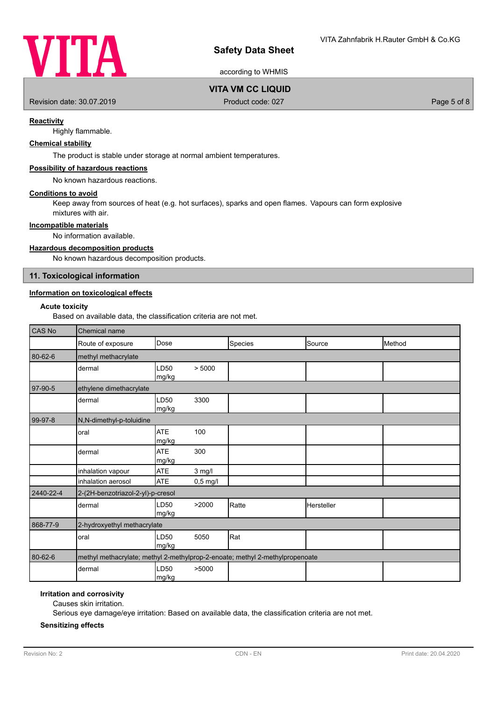

according to WHMIS

# **VITA VM CC LIQUID**

Revision date: 30.07.2019 **Product code: 027** Product code: 027 **Page 5 of 8** 

## **Reactivity**

Highly flammable.

# **Chemical stability**

The product is stable under storage at normal ambient temperatures.

## **Possibility of hazardous reactions**

No known hazardous reactions.

### **Conditions to avoid**

Keep away from sources of heat (e.g. hot surfaces), sparks and open flames. Vapours can form explosive mixtures with air.

## **Incompatible materials**

No information available.

## **Hazardous decomposition products**

No known hazardous decomposition products.

### **11. Toxicological information**

# **Information on toxicological effects**

## **Acute toxicity**

Based on available data, the classification criteria are not met.

| <b>CAS No</b> | Chemical name                                                                |                     |            |         |            |        |
|---------------|------------------------------------------------------------------------------|---------------------|------------|---------|------------|--------|
|               | Route of exposure                                                            | Dose                |            | Species | Source     | Method |
| 80-62-6       | methyl methacrylate                                                          |                     |            |         |            |        |
|               | dermal                                                                       | LD50<br>mg/kg       | > 5000     |         |            |        |
| 97-90-5       | ethylene dimethacrylate                                                      |                     |            |         |            |        |
|               | dermal                                                                       | LD50<br>mg/kg       | 3300       |         |            |        |
| $99-97-8$     | N,N-dimethyl-p-toluidine                                                     |                     |            |         |            |        |
|               | oral                                                                         | <b>ATE</b><br>mg/kg | 100        |         |            |        |
|               | dermal                                                                       | <b>ATE</b><br>mg/kg | 300        |         |            |        |
|               | inhalation vapour                                                            | <b>ATE</b>          | $3$ mg/l   |         |            |        |
|               | inhalation aerosol                                                           | <b>ATE</b>          | $0,5$ mg/l |         |            |        |
| 2440-22-4     | 2-(2H-benzotriazol-2-yl)-p-cresol                                            |                     |            |         |            |        |
|               | dermal                                                                       | LD50<br>mg/kg       | >2000      | Ratte   | Hersteller |        |
| 868-77-9      | 2-hydroxyethyl methacrylate                                                  |                     |            |         |            |        |
|               | oral                                                                         | LD50<br>mg/kg       | 5050       | Rat     |            |        |
| 80-62-6       | methyl methacrylate; methyl 2-methylprop-2-enoate; methyl 2-methylpropenoate |                     |            |         |            |        |
|               | dermal                                                                       | LD50<br> mg/kg      | >5000      |         |            |        |

## **Irritation and corrosivity**

Causes skin irritation.

Serious eye damage/eye irritation: Based on available data, the classification criteria are not met.

### **Sensitizing effects**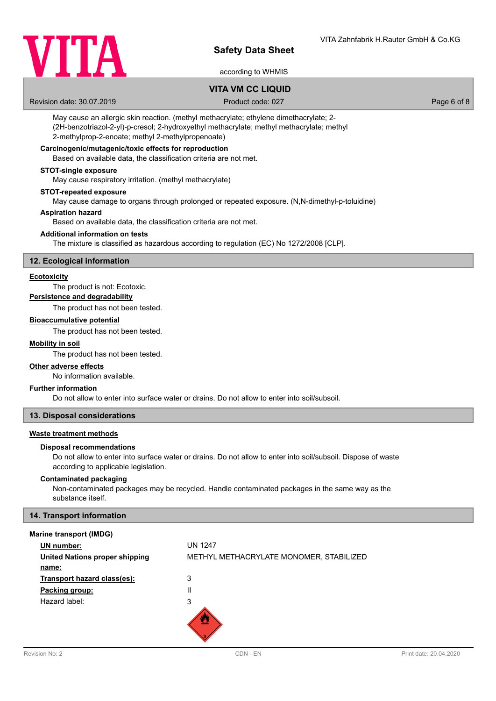

# according to WHMIS

# **VITA VM CC LIQUID**

Revision date: 30.07.2019 **Product code: 027** Product code: 027 **Page 6 of 8** Page 6 of 8

May cause an allergic skin reaction. (methyl methacrylate; ethylene dimethacrylate; 2- (2H-benzotriazol-2-yl)-p-cresol; 2-hydroxyethyl methacrylate; methyl methacrylate; methyl 2-methylprop-2-enoate; methyl 2-methylpropenoate)

## **Carcinogenic/mutagenic/toxic effects for reproduction**

Based on available data, the classification criteria are not met.

### **STOT-single exposure**

May cause respiratory irritation. (methyl methacrylate)

### **STOT-repeated exposure**

May cause damage to organs through prolonged or repeated exposure. (N,N-dimethyl-p-toluidine)

### **Aspiration hazard**

Based on available data, the classification criteria are not met.

## **Additional information on tests**

The mixture is classified as hazardous according to regulation (EC) No 1272/2008 [CLP].

### **12. Ecological information**

### **Ecotoxicity**

The product is not: Ecotoxic.

## **Persistence and degradability**

The product has not been tested.

### **Bioaccumulative potential**

The product has not been tested.

### **Mobility in soil**

The product has not been tested.

### **Other adverse effects**

No information available.

### **Further information**

Do not allow to enter into surface water or drains. Do not allow to enter into soil/subsoil.

## **13. Disposal considerations**

### **Waste treatment methods**

#### **Disposal recommendations**

Do not allow to enter into surface water or drains. Do not allow to enter into soil/subsoil. Dispose of waste according to applicable legislation.

## **Contaminated packaging**

Non-contaminated packages may be recycled. Handle contaminated packages in the same way as the substance itself.

## **14. Transport information**

### **Marine transport (IMDG)**

| <b>UN</b> number:                     | <b>UN 1247</b>                          |
|---------------------------------------|-----------------------------------------|
| <b>United Nations proper shipping</b> | METHYL METHACRYLATE MONOMER, STABILIZED |
| name:                                 |                                         |
| Transport hazard class(es):           | 3                                       |
| Packing group:                        | II                                      |
| Hazard label:                         | 3                                       |
|                                       |                                         |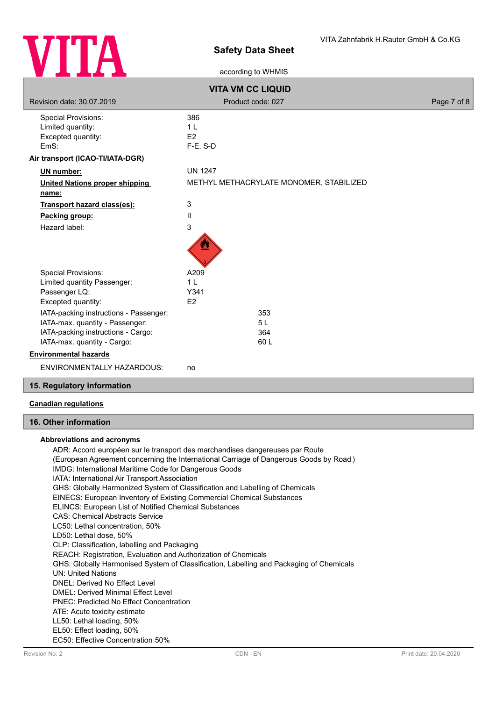

according to WHMIS

| <b>VITA VM CC LIQUID</b>               |                                         |             |  |  |
|----------------------------------------|-----------------------------------------|-------------|--|--|
| Revision date: 30.07.2019              | Product code: 027                       | Page 7 of 8 |  |  |
| <b>Special Provisions:</b>             | 386                                     |             |  |  |
| Limited quantity:                      | 1 <sub>L</sub>                          |             |  |  |
| Excepted quantity:                     | E2                                      |             |  |  |
| EmS:                                   | $F-E$ , S-D                             |             |  |  |
| Air transport (ICAO-TI/IATA-DGR)       |                                         |             |  |  |
| UN number:                             | <b>UN 1247</b>                          |             |  |  |
| <b>United Nations proper shipping</b>  | METHYL METHACRYLATE MONOMER, STABILIZED |             |  |  |
| name:                                  |                                         |             |  |  |
| Transport hazard class(es):            | 3                                       |             |  |  |
| Packing group:                         | $\mathbf{I}$                            |             |  |  |
| Hazard label:                          | 3                                       |             |  |  |
|                                        | ፵                                       |             |  |  |
| <b>Special Provisions:</b>             | A209                                    |             |  |  |
| Limited quantity Passenger:            | 1 <sub>L</sub>                          |             |  |  |
| Passenger LQ:                          | Y341                                    |             |  |  |
| Excepted quantity:                     | E2                                      |             |  |  |
| IATA-packing instructions - Passenger: | 353                                     |             |  |  |
| IATA-max. quantity - Passenger:        | 5L                                      |             |  |  |
| IATA-packing instructions - Cargo:     | 364                                     |             |  |  |
| IATA-max. quantity - Cargo:            | 60 L                                    |             |  |  |
| <b>Environmental hazards</b>           |                                         |             |  |  |
| <b>ENVIRONMENTALLY HAZARDOUS:</b>      | no                                      |             |  |  |
| 15. Regulatory information             |                                         |             |  |  |

## **Canadian regulations**

# **16. Other information**

## **Abbreviations and acronyms**

ADR: Accord européen sur le transport des marchandises dangereuses par Route (European Agreement concerning the International Carriage of Dangerous Goods by Road ) IMDG: International Maritime Code for Dangerous Goods IATA: International Air Transport Association GHS: Globally Harmonized System of Classification and Labelling of Chemicals EINECS: European Inventory of Existing Commercial Chemical Substances ELINCS: European List of Notified Chemical Substances CAS: Chemical Abstracts Service LC50: Lethal concentration, 50% LD50: Lethal dose, 50% CLP: Classification, labelling and Packaging REACH: Registration, Evaluation and Authorization of Chemicals GHS: Globally Harmonised System of Classification, Labelling and Packaging of Chemicals UN: United Nations DNEL: Derived No Effect Level DMEL: Derived Minimal Effect Level PNEC: Predicted No Effect Concentration ATE: Acute toxicity estimate LL50: Lethal loading, 50% EL50: Effect loading, 50% EC50: Effective Concentration 50%